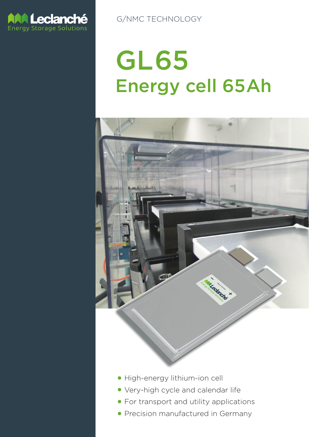

G/NMC TECHNOLOGY

# GL65 Energy cell 65Ah



- High-energy lithium-ion cell
- **Very-high cycle and calendar life**
- **For transport and utility applications**
- Precision manufactured in Germany